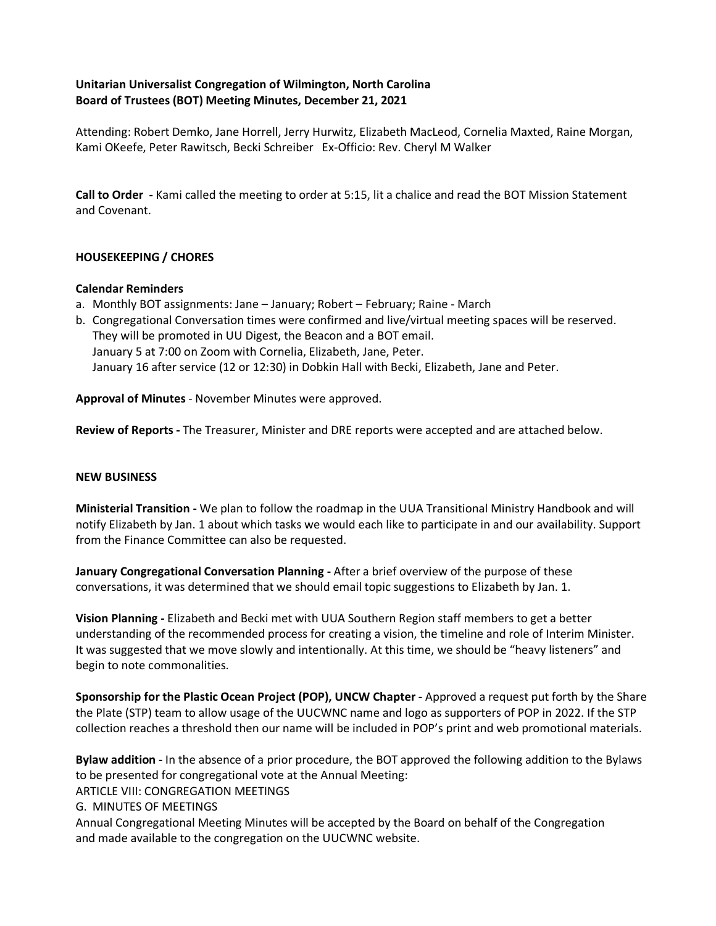### **Unitarian Universalist Congregation of Wilmington, North Carolina Board of Trustees (BOT) Meeting Minutes, December 21, 2021**

Attending: Robert Demko, Jane Horrell, Jerry Hurwitz, Elizabeth MacLeod, Cornelia Maxted, Raine Morgan, Kami OKeefe, Peter Rawitsch, Becki Schreiber Ex-Officio: Rev. Cheryl M Walker

**Call to Order -** Kami called the meeting to order at 5:15, lit a chalice and read the BOT Mission Statement and Covenant.

### **HOUSEKEEPING / CHORES**

### **Calendar Reminders**

- a. Monthly BOT assignments: Jane January; Robert February; Raine March
- b. Congregational Conversation times were confirmed and live/virtual meeting spaces will be reserved. They will be promoted in UU Digest, the Beacon and a BOT email. January 5 at 7:00 on Zoom with Cornelia, Elizabeth, Jane, Peter. January 16 after service (12 or 12:30) in Dobkin Hall with Becki, Elizabeth, Jane and Peter.

**Approval of Minutes** - November Minutes were approved.

**Review of Reports -** The Treasurer, Minister and DRE reports were accepted and are attached below.

#### **NEW BUSINESS**

**Ministerial Transition -** We plan to follow the roadmap in the UUA Transitional Ministry Handbook and will notify Elizabeth by Jan. 1 about which tasks we would each like to participate in and our availability. Support from the Finance Committee can also be requested.

**January Congregational Conversation Planning -** After a brief overview of the purpose of these conversations, it was determined that we should email topic suggestions to Elizabeth by Jan. 1.

**Vision Planning -** Elizabeth and Becki met with UUA Southern Region staff members to get a better understanding of the recommended process for creating a vision, the timeline and role of Interim Minister. It was suggested that we move slowly and intentionally. At this time, we should be "heavy listeners" and begin to note commonalities.

**Sponsorship for the Plastic Ocean Project (POP), UNCW Chapter -** Approved a request put forth by the Share the Plate (STP) team to allow usage of the UUCWNC name and logo as supporters of POP in 2022. If the STP collection reaches a threshold then our name will be included in POP's print and web promotional materials.

**Bylaw addition -** In the absence of a prior procedure, the BOT approved the following addition to the Bylaws to be presented for congregational vote at the Annual Meeting:

ARTICLE VIII: CONGREGATION MEETINGS

G. MINUTES OF MEETINGS

Annual Congregational Meeting Minutes will be accepted by the Board on behalf of the Congregation and made available to the congregation on the UUCWNC website.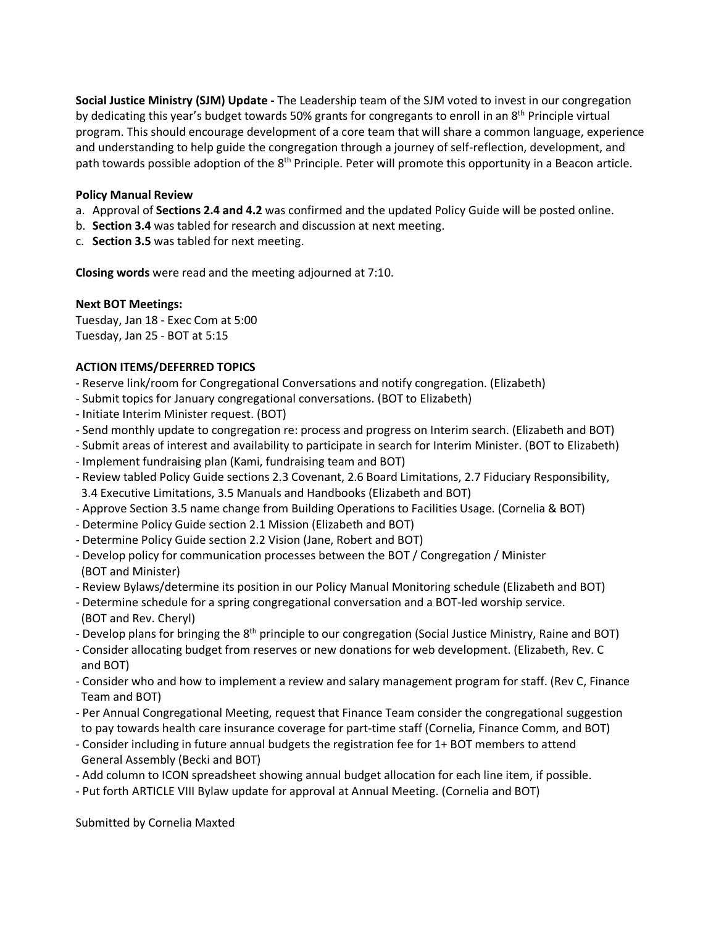**Social Justice Ministry (SJM) Update -** The Leadership team of the SJM voted to invest in our congregation by dedicating this year's budget towards 50% grants for congregants to enroll in an 8<sup>th</sup> Principle virtual program. This should encourage development of a core team that will share a common language, experience and understanding to help guide the congregation through a journey of self-reflection, development, and path towards possible adoption of the 8<sup>th</sup> Principle. Peter will promote this opportunity in a Beacon article.

#### **Policy Manual Review**

- a. Approval of **Sections 2.4 and 4.2** was confirmed and the updated Policy Guide will be posted online.
- b. **Section 3.4** was tabled for research and discussion at next meeting.
- c. **Section 3.5** was tabled for next meeting.

**Closing words** were read and the meeting adjourned at 7:10.

#### **Next BOT Meetings:**

Tuesday, Jan 18 - Exec Com at 5:00 Tuesday, Jan 25 - BOT at 5:15

#### **ACTION ITEMS/DEFERRED TOPICS**

- Reserve link/room for Congregational Conversations and notify congregation. (Elizabeth)
- Submit topics for January congregational conversations. (BOT to Elizabeth)
- Initiate Interim Minister request. (BOT)
- Send monthly update to congregation re: process and progress on Interim search. (Elizabeth and BOT)
- Submit areas of interest and availability to participate in search for Interim Minister. (BOT to Elizabeth)
- Implement fundraising plan (Kami, fundraising team and BOT)
- Review tabled Policy Guide sections 2.3 Covenant, 2.6 Board Limitations, 2.7 Fiduciary Responsibility,
- 3.4 Executive Limitations, 3.5 Manuals and Handbooks (Elizabeth and BOT)
- Approve Section 3.5 name change from Building Operations to Facilities Usage. (Cornelia & BOT)
- Determine Policy Guide section 2.1 Mission (Elizabeth and BOT)
- Determine Policy Guide section 2.2 Vision (Jane, Robert and BOT)
- Develop policy for communication processes between the BOT / Congregation / Minister (BOT and Minister)
- Review Bylaws/determine its position in our Policy Manual Monitoring schedule (Elizabeth and BOT)
- Determine schedule for a spring congregational conversation and a BOT-led worship service. (BOT and Rev. Cheryl)
- Develop plans for bringing the 8<sup>th</sup> principle to our congregation (Social Justice Ministry, Raine and BOT)
- Consider allocating budget from reserves or new donations for web development. (Elizabeth, Rev. C and BOT)
- Consider who and how to implement a review and salary management program for staff. (Rev C, Finance Team and BOT)
- Per Annual Congregational Meeting, request that Finance Team consider the congregational suggestion to pay towards health care insurance coverage for part-time staff (Cornelia, Finance Comm, and BOT)
- Consider including in future annual budgets the registration fee for 1+ BOT members to attend General Assembly (Becki and BOT)
- Add column to ICON spreadsheet showing annual budget allocation for each line item, if possible.
- Put forth ARTICLE VIII Bylaw update for approval at Annual Meeting. (Cornelia and BOT)

Submitted by Cornelia Maxted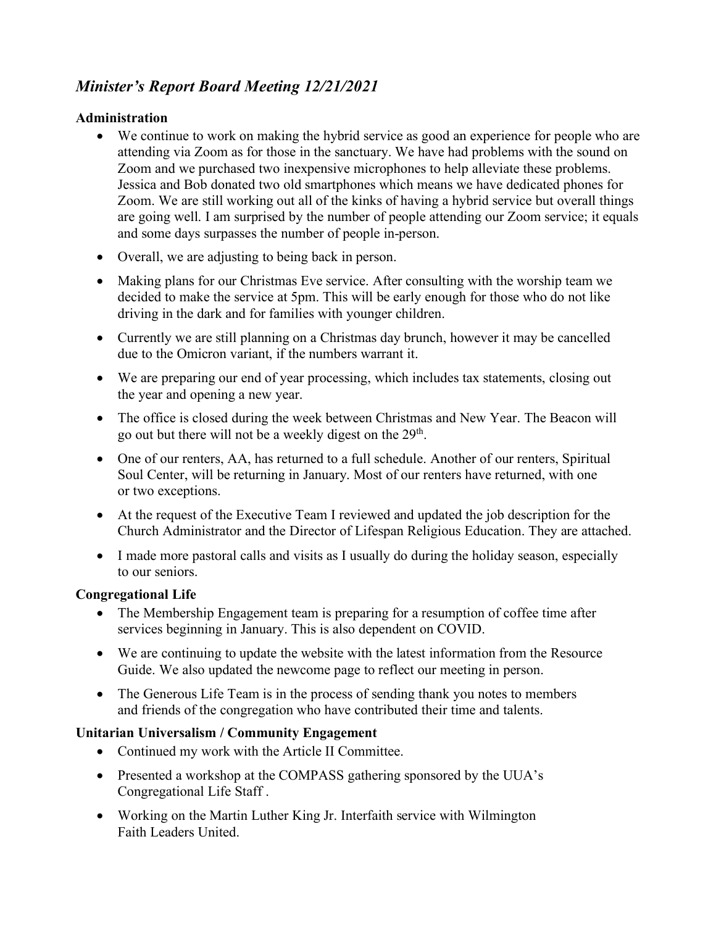# *Minister's Report Board Meeting 12/21/2021*

# **Administration**

- We continue to work on making the hybrid service as good an experience for people who are attending via Zoom as for those in the sanctuary. We have had problems with the sound on Zoom and we purchased two inexpensive microphones to help alleviate these problems. Jessica and Bob donated two old smartphones which means we have dedicated phones for Zoom. We are still working out all of the kinks of having a hybrid service but overall things are going well. I am surprised by the number of people attending our Zoom service; it equals and some days surpasses the number of people in-person.
- Overall, we are adjusting to being back in person.
- Making plans for our Christmas Eve service. After consulting with the worship team we decided to make the service at 5pm. This will be early enough for those who do not like driving in the dark and for families with younger children.
- Currently we are still planning on a Christmas day brunch, however it may be cancelled due to the Omicron variant, if the numbers warrant it.
- We are preparing our end of year processing, which includes tax statements, closing out the year and opening a new year.
- The office is closed during the week between Christmas and New Year. The Beacon will go out but there will not be a weekly digest on the 29<sup>th</sup>.
- One of our renters, AA, has returned to a full schedule. Another of our renters, Spiritual Soul Center, will be returning in January. Most of our renters have returned, with one or two exceptions.
- At the request of the Executive Team I reviewed and updated the job description for the Church Administrator and the Director of Lifespan Religious Education. They are attached.
- I made more pastoral calls and visits as I usually do during the holiday season, especially to our seniors.

# **Congregational Life**

- The Membership Engagement team is preparing for a resumption of coffee time after services beginning in January. This is also dependent on COVID.
- We are continuing to update the website with the latest information from the Resource Guide. We also updated the newcome page to reflect our meeting in person.
- The Generous Life Team is in the process of sending thank you notes to members and friends of the congregation who have contributed their time and talents.

# **Unitarian Universalism / Community Engagement**

- Continued my work with the Article II Committee.
- Presented a workshop at the COMPASS gathering sponsored by the UUA's Congregational Life Staff .
- Working on the Martin Luther King Jr. Interfaith service with Wilmington Faith Leaders United.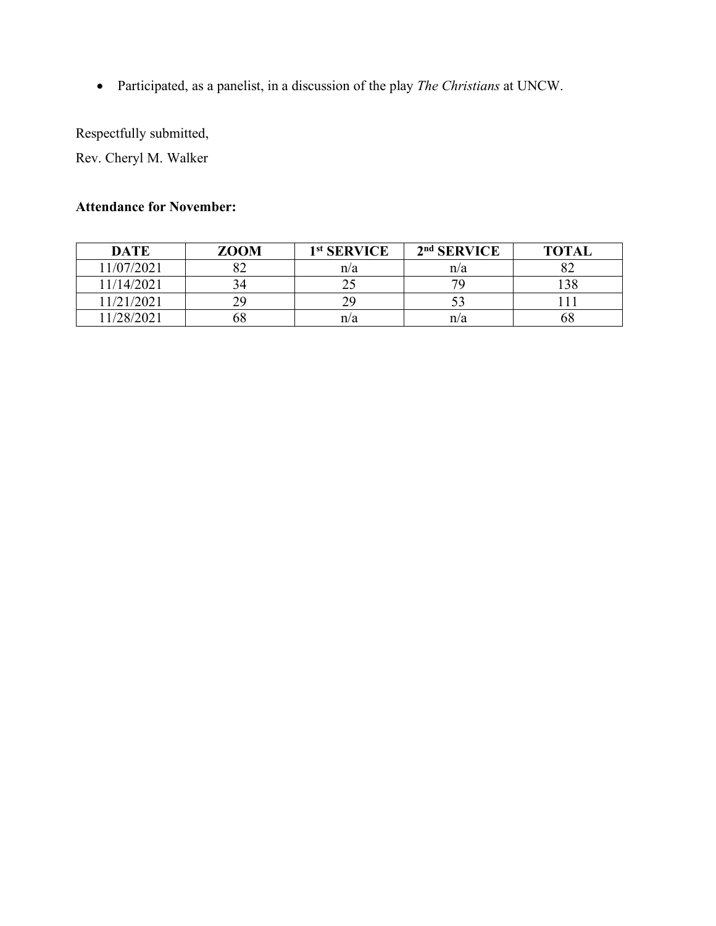• Participated, as a panelist, in a discussion of the play *The Christians* at UNCW.

Respectfully submitted,

Rev. Cheryl M. Walker

# **Attendance for November:**

| <b>DATE</b> | <b>ZOOM</b> | 1 <sup>st</sup> SERVICE | $2nd$ SERVICE | <b>TOTAL</b> |
|-------------|-------------|-------------------------|---------------|--------------|
| 11/07/2021  | n n<br>◡∠   | n/a                     | n/a           |              |
| 11/14/2021  |             | ں ک                     | 7С            | 38           |
| 11/21/2021  | 29          |                         |               |              |
| 11/28/2021  | 68          | n/a                     | n/a           | Oð           |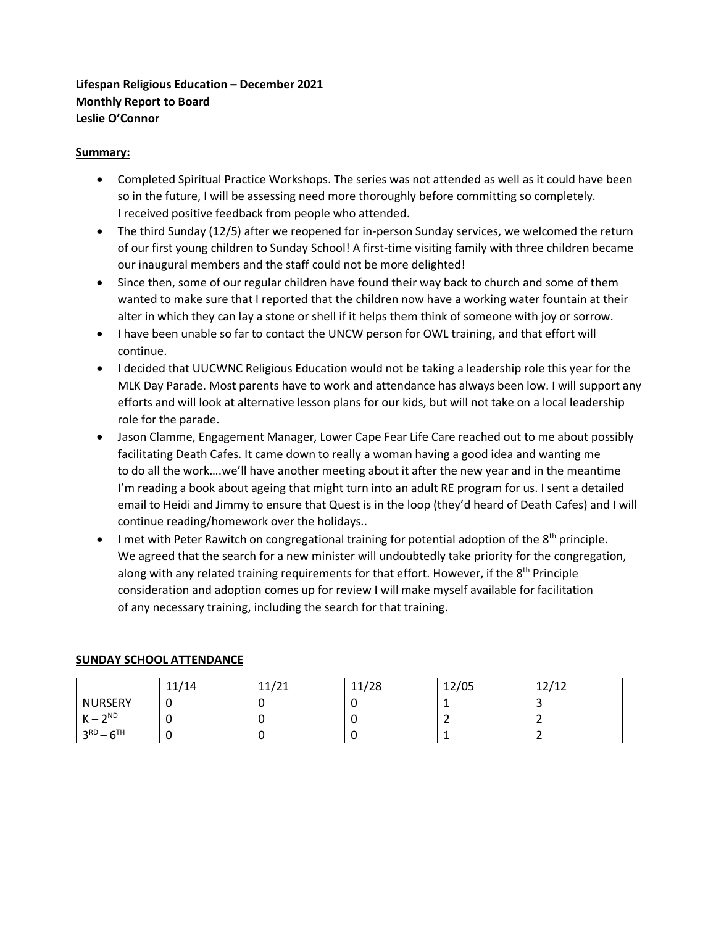## **Lifespan Religious Education – December 2021 Monthly Report to Board Leslie O'Connor**

### **Summary:**

- Completed Spiritual Practice Workshops. The series was not attended as well as it could have been so in the future, I will be assessing need more thoroughly before committing so completely. I received positive feedback from people who attended.
- The third Sunday (12/5) after we reopened for in-person Sunday services, we welcomed the return of our first young children to Sunday School! A first-time visiting family with three children became our inaugural members and the staff could not be more delighted!
- Since then, some of our regular children have found their way back to church and some of them wanted to make sure that I reported that the children now have a working water fountain at their alter in which they can lay a stone or shell if it helps them think of someone with joy or sorrow.
- I have been unable so far to contact the UNCW person for OWL training, and that effort will continue.
- I decided that UUCWNC Religious Education would not be taking a leadership role this year for the MLK Day Parade. Most parents have to work and attendance has always been low. I will support any efforts and will look at alternative lesson plans for our kids, but will not take on a local leadership role for the parade.
- Jason Clamme, Engagement Manager, Lower Cape Fear Life Care reached out to me about possibly facilitating Death Cafes. It came down to really a woman having a good idea and wanting me to do all the work….we'll have another meeting about it after the new year and in the meantime I'm reading a book about ageing that might turn into an adult RE program for us. I sent a detailed email to Heidi and Jimmy to ensure that Quest is in the loop (they'd heard of Death Cafes) and I will continue reading/homework over the holidays..
- $\bullet$  I met with Peter Rawitch on congregational training for potential adoption of the  $8<sup>th</sup>$  principle. We agreed that the search for a new minister will undoubtedly take priority for the congregation, along with any related training requirements for that effort. However, if the 8<sup>th</sup> Principle consideration and adoption comes up for review I will make myself available for facilitation of any necessary training, including the search for that training.

|                   | 11/14 | 11/21 | 11/28 | 12/05 | 12/12 |
|-------------------|-------|-------|-------|-------|-------|
| <b>NURSERY</b>    |       |       |       |       |       |
| $K - 2^{ND}$      |       |       |       |       |       |
| $3^{RD} - 6^{TH}$ |       |       |       |       |       |

### **SUNDAY SCHOOL ATTENDANCE**